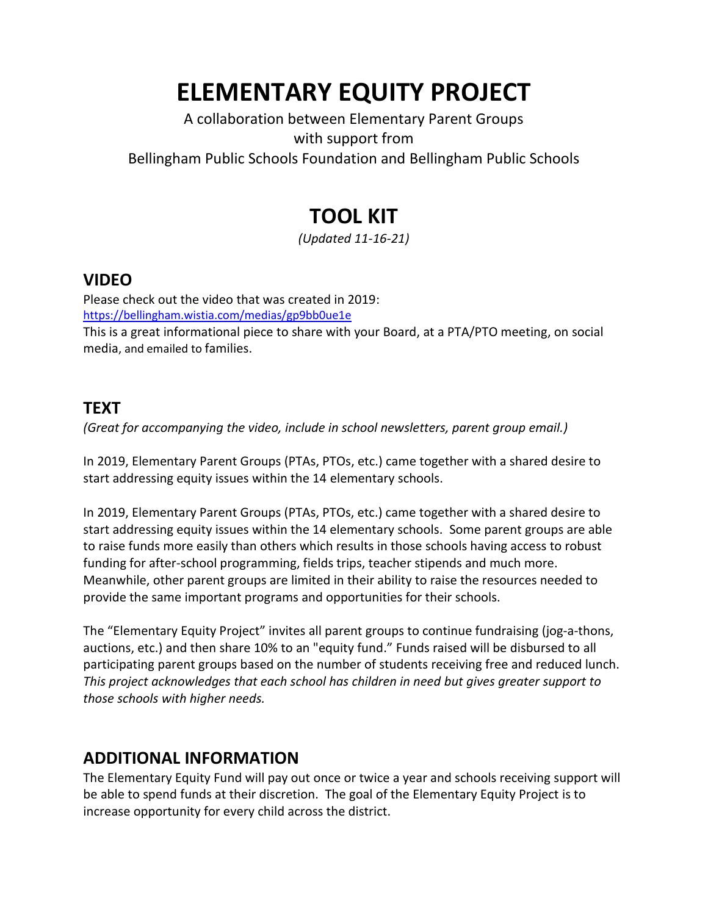# **ELEMENTARY EQUITY PROJECT**

#### A collaboration between Elementary Parent Groups with support from Bellingham Public Schools Foundation and Bellingham Public Schools

# **TOOL KIT**

*(Updated 11-16-21)*

# **VIDEO**

Please check out the video that was created in 2019: <https://bellingham.wistia.com/medias/gp9bb0ue1e>

This is a great informational piece to share with your Board, at a PTA/PTO meeting, on social media, and emailed to families.

## **TEXT**

*(Great for accompanying the video, include in school newsletters, parent group email.)*

In 2019, Elementary Parent Groups (PTAs, PTOs, etc.) came together with a shared desire to start addressing equity issues within the 14 elementary schools.

In 2019, Elementary Parent Groups (PTAs, PTOs, etc.) came together with a shared desire to start addressing equity issues within the 14 elementary schools. Some parent groups are able to raise funds more easily than others which results in those schools having access to robust funding for after-school programming, fields trips, teacher stipends and much more. Meanwhile, other parent groups are limited in their ability to raise the resources needed to provide the same important programs and opportunities for their schools.

The "Elementary Equity Project" invites all parent groups to continue fundraising (jog-a-thons, auctions, etc.) and then share 10% to an "equity fund." Funds raised will be disbursed to all participating parent groups based on the number of students receiving free and reduced lunch. *This project acknowledges that each school has children in need but gives greater support to those schools with higher needs.*

### **ADDITIONAL INFORMATION**

The Elementary Equity Fund will pay out once or twice a year and schools receiving support will be able to spend funds at their discretion. The goal of the Elementary Equity Project is to increase opportunity for every child across the district.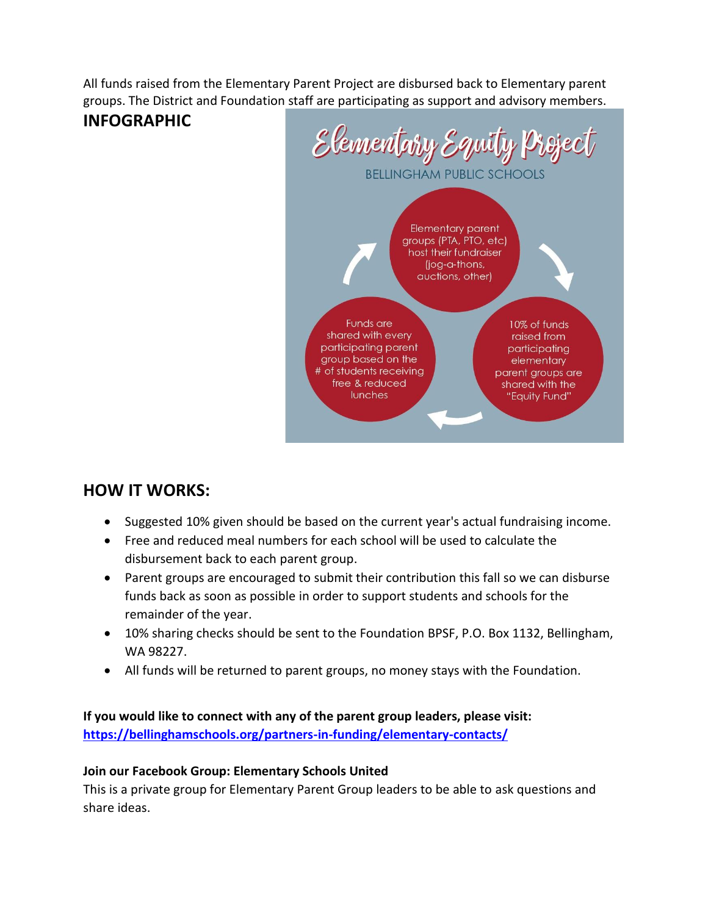All funds raised from the Elementary Parent Project are disbursed back to Elementary parent groups. The District and Foundation staff are participating as support and advisory members.

#### **INFOGRAPHIC**



## **HOW IT WORKS:**

- Suggested 10% given should be based on the current year's actual fundraising income.
- Free and reduced meal numbers for each school will be used to calculate the disbursement back to each parent group.
- Parent groups are encouraged to submit their contribution this fall so we can disburse funds back as soon as possible in order to support students and schools for the remainder of the year.
- 10% sharing checks should be sent to the Foundation BPSF, P.O. Box 1132, Bellingham, WA 98227.
- All funds will be returned to parent groups, no money stays with the Foundation.

**If you would like to connect with any of the parent group leaders, please visit: <https://bellinghamschools.org/partners-in-funding/elementary-contacts/>**

#### **Join our Facebook Group: Elementary Schools United**

This is a private group for Elementary Parent Group leaders to be able to ask questions and share ideas.